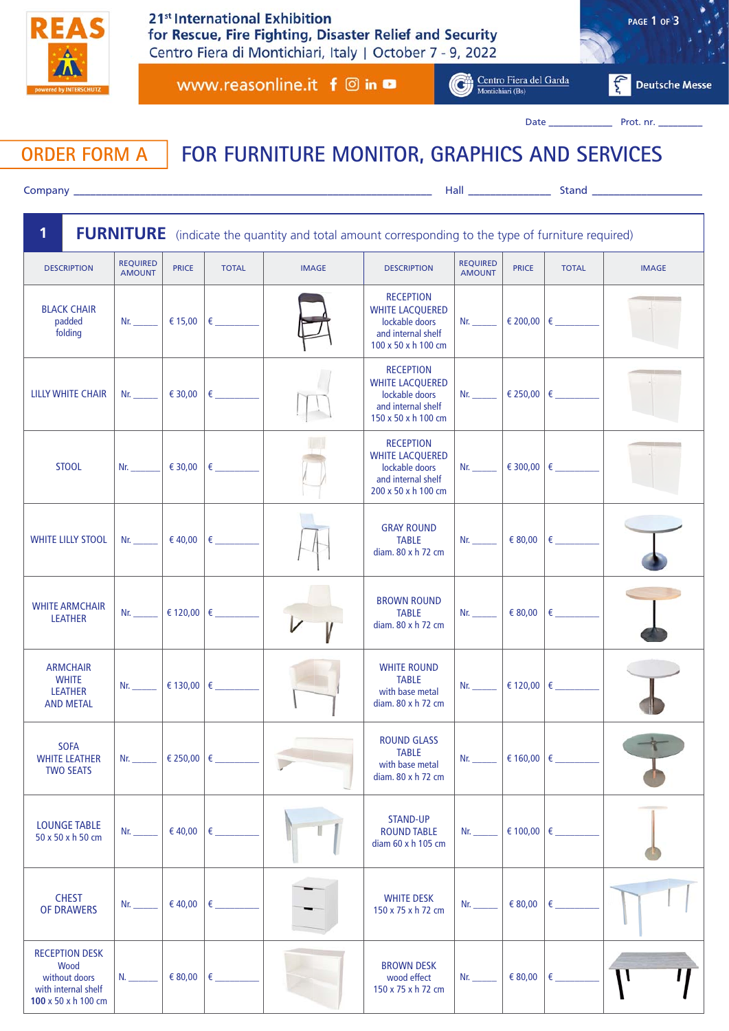

www.reasonline.it f @ in **□** 

Centro Fiera del Garda

 $|\mathbf{f}^*|$ **Deutsche Messe** 

**PAGE 1 OF 3**

Date \_\_\_\_\_\_\_\_\_\_\_\_\_ Prot. nr. \_\_\_\_\_\_\_\_\_

## **ORDER FORM A FOR FURNITURE MONITOR, GRAPHICS AND SERVICES**

Company \_\_\_\_\_\_\_\_\_\_\_\_\_\_\_\_\_\_\_\_\_\_\_\_\_\_\_\_\_\_\_\_\_\_\_\_\_\_\_\_\_\_\_\_\_\_\_\_\_\_\_\_\_\_\_\_\_\_\_\_\_\_\_\_\_ Hall \_\_\_\_\_\_\_\_\_\_\_\_\_\_\_ Stand \_\_\_\_\_\_\_\_\_\_\_\_\_\_\_\_\_\_\_\_

| 1<br><b>FURNITURE</b> (indicate the quantity and total amount corresponding to the type of furniture required) |                                                                                                                                                                                                                                |              |                                      |              |                                                                                                           |                                  |                     |                              |              |
|----------------------------------------------------------------------------------------------------------------|--------------------------------------------------------------------------------------------------------------------------------------------------------------------------------------------------------------------------------|--------------|--------------------------------------|--------------|-----------------------------------------------------------------------------------------------------------|----------------------------------|---------------------|------------------------------|--------------|
| <b>DESCRIPTION</b>                                                                                             | <b>REQUIRED</b><br><b>AMOUNT</b>                                                                                                                                                                                               | <b>PRICE</b> | <b>TOTAL</b>                         | <b>IMAGE</b> | <b>DESCRIPTION</b>                                                                                        | <b>REQUIRED</b><br><b>AMOUNT</b> | <b>PRICE</b>        | <b>TOTAL</b>                 | <b>IMAGE</b> |
| <b>BLACK CHAIR</b><br>padded<br>folding                                                                        | Nr. $\qquad \qquad$                                                                                                                                                                                                            |              |                                      |              | <b>RECEPTION</b><br><b>WHITE LACQUERED</b><br>lockable doors<br>and internal shelf<br>100 x 50 x h 100 cm | Nr.                              |                     |                              |              |
| <b>LILLY WHITE CHAIR</b>                                                                                       | Nr. $\qquad$                                                                                                                                                                                                                   |              |                                      |              | <b>RECEPTION</b><br><b>WHITE LACQUERED</b><br>lockable doors<br>and internal shelf<br>150 x 50 x h 100 cm | Nr.                              |                     | € 250,00 €                   |              |
| <b>STOOL</b>                                                                                                   | Nr. $\qquad$                                                                                                                                                                                                                   | € 30,00      | $\epsilon$ and the set of $\epsilon$ |              | <b>RECEPTION</b><br><b>WHITE LACQUERED</b><br>lockable doors<br>and internal shelf<br>200 x 50 x h 100 cm | Nr.                              |                     | $\epsilon$ 300,00 $\epsilon$ |              |
| <b>WHITE LILLY STOOL</b>                                                                                       | $Nr_{-}$                                                                                                                                                                                                                       | € 40,00      | $\epsilon$ and $\epsilon$            |              | <b>GRAY ROUND</b><br><b>TABLE</b><br>diam. 80 x h 72 cm                                                   | Nr. $\qquad$                     | € 80,00             | $\epsilon$ and $\epsilon$    |              |
| <b>WHITE ARMCHAIR</b><br><b>LEATHER</b>                                                                        | Nr.                                                                                                                                                                                                                            | € 120,00 €   |                                      |              | <b>BROWN ROUND</b><br><b>TABLE</b><br>diam. 80 x h 72 cm                                                  | Nr.                              | € 80,00             | $\epsilon$ and $\epsilon$    |              |
| <b>ARMCHAIR</b><br><b>WHITE</b><br><b>LEATHER</b><br><b>AND METAL</b>                                          | Nr. the contract of the contract of the contract of the contract of the contract of the contract of the contract of the contract of the contract of the contract of the contract of the contract of the contract of the contra |              |                                      |              | <b>WHITE ROUND</b><br><b>TABLE</b><br>with base metal<br>diam. 80 x h 72 cm                               | Nr. $\qquad$                     |                     | € 120,00 €                   |              |
| <b>SOFA</b><br><b>WHITE LEATHER</b><br><b>TWO SEATS</b>                                                        | Nr.                                                                                                                                                                                                                            |              |                                      |              | <b>ROUND GLASS</b><br><b>TABLE</b><br>with base metal<br>diam. 80 x h 72 cm                               | Nr.                              | € 160,00 $\in$ _    |                              |              |
| <b>LOUNGE TABLE</b><br>50 x 50 x h 50 cm                                                                       | $Nr_{-}$                                                                                                                                                                                                                       | € 40,00      | €                                    |              | <b>STAND-UP</b><br><b>ROUND TABLE</b><br>diam 60 x h 105 cm                                               | Nr.                              | € 100,00 $\epsilon$ |                              |              |
| <b>CHEST</b><br><b>OF DRAWERS</b>                                                                              | $Nr_{-}$                                                                                                                                                                                                                       | € 40,00      | €                                    |              | <b>WHITE DESK</b><br>150 x 75 x h 72 cm                                                                   | Nr.                              | € 80,00             | €                            |              |
| <b>RECEPTION DESK</b><br>Wood<br>without doors<br>with internal shelf<br>100 x 50 x h 100 cm                   | $N_{\cdot}$                                                                                                                                                                                                                    | € 80,00      | €                                    |              | <b>BROWN DESK</b><br>wood effect<br>150 x 75 x h 72 cm                                                    | $Nr_{\cdot}$                     | € 80,00             | €                            |              |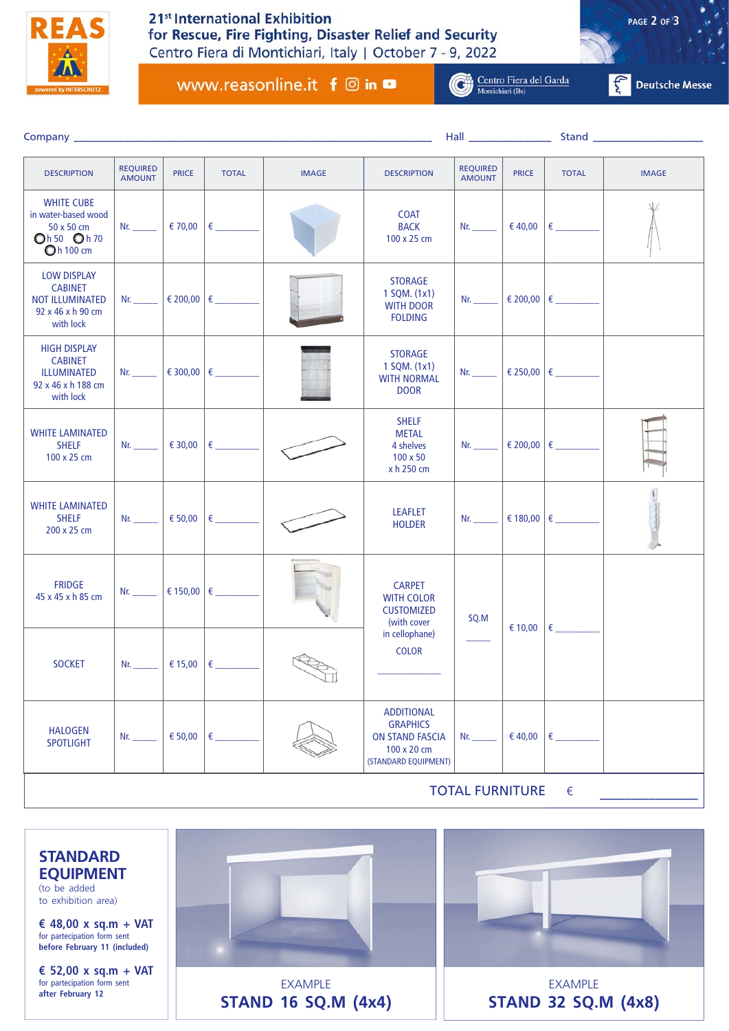

## 21<sup>st</sup> International Exhibition for Rescue, Fire Fighting, Disaster Relief and Security Centro Fiera di Montichiari, Italy | October 7 - 9, 2022

**PAGE 2 OF 3**

www.reasonline.it f @ in **□** 

Centro Fiera del Garda

 $\left| \begin{matrix} C \\ C \end{matrix} \right|$  Deutsche Messe

|                                                                                                  |                                  |                     |                     |              |                                                                                                       |                                                                                                                                                                                                                                | Hall <b>Hall</b> |                             |              |  |
|--------------------------------------------------------------------------------------------------|----------------------------------|---------------------|---------------------|--------------|-------------------------------------------------------------------------------------------------------|--------------------------------------------------------------------------------------------------------------------------------------------------------------------------------------------------------------------------------|------------------|-----------------------------|--------------|--|
| <b>DESCRIPTION</b>                                                                               | <b>REQUIRED</b><br><b>AMOUNT</b> | <b>PRICE</b>        | <b>TOTAL</b>        | <b>IMAGE</b> | <b>DESCRIPTION</b>                                                                                    | <b>REQUIRED</b><br><b>AMOUNT</b>                                                                                                                                                                                               | <b>PRICE</b>     | <b>TOTAL</b>                | <b>IMAGE</b> |  |
| <b>WHITE CUBE</b><br>in water-based wood<br>50 x 50 cm<br>Oh 50 Oh 70<br>Oh 100 cm               | Nr. $\qquad \qquad$              |                     |                     |              | <b>COAT</b><br><b>BACK</b><br>100 x 25 cm                                                             | Nr. $\qquad \qquad$                                                                                                                                                                                                            |                  | $\epsilon$ 40,00 $\epsilon$ |              |  |
| <b>LOW DISPLAY</b><br><b>CABINET</b><br><b>NOT ILLUMINATED</b><br>92 x 46 x h 90 cm<br>with lock | Nr. $\qquad \qquad$              | € 200,00 $\epsilon$ |                     |              | <b>STORAGE</b><br>1 SQM. (1x1)<br><b>WITH DOOR</b><br><b>FOLDING</b>                                  | $Nr$ .                                                                                                                                                                                                                         |                  | € 200,00 €                  |              |  |
| <b>HIGH DISPLAY</b><br><b>CABINET</b><br>ILLUMINATED<br>92 x 46 x h 188 cm<br>with lock          | Nr. $\qquad \qquad$              |                     | € 300,00 $\epsilon$ |              | <b>STORAGE</b><br>1 SQM. (1x1)<br><b>WITH NORMAL</b><br><b>DOOR</b>                                   | Nr. $\qquad$                                                                                                                                                                                                                   |                  | € 250,00 €                  |              |  |
| <b>WHITE LAMINATED</b><br><b>SHELF</b><br>100 x 25 cm                                            | Nr. $\qquad \qquad$              |                     |                     |              | <b>SHELF</b><br><b>METAL</b><br>4 shelves<br>100 x 50<br>x h 250 cm                                   | Nr. $\qquad \qquad$                                                                                                                                                                                                            |                  | € 200,00 $\epsilon$         |              |  |
| <b>WHITE LAMINATED</b><br><b>SHELF</b><br>200 x 25 cm                                            | $Nr$ .                           | € 50,00             |                     |              | <b>LEAFLET</b><br><b>HOLDER</b>                                                                       | Nr. the contract of the contract of the contract of the contract of the contract of the contract of the contract of the contract of the contract of the contract of the contract of the contract of the contract of the contra |                  |                             |              |  |
| <b>FRIDGE</b><br>45 x 45 x h 85 cm                                                               | Nr. $\qquad \qquad$              |                     |                     |              | <b>CARPET</b><br><b>WITH COLOR</b><br><b>CUSTOMIZED</b><br>(with cover                                | SQ.M                                                                                                                                                                                                                           | € 10,00          | $\epsilon$                  |              |  |
| <b>SOCKET</b>                                                                                    | Nr. 1996                         |                     |                     | IJ           | in cellophane)<br><b>COLOR</b>                                                                        |                                                                                                                                                                                                                                |                  |                             |              |  |
| <b>HALOGEN</b><br><b>SPOTLIGHT</b>                                                               | $Nr_{-}$                         | € 50,00             | €                   |              | <b>ADDITIONAL</b><br><b>GRAPHICS</b><br><b>ON STAND FASCIA</b><br>100 x 20 cm<br>(STANDARD EQUIPMENT) | $Nr_{-}$                                                                                                                                                                                                                       | € 40,00          | €                           |              |  |
| <b>TOTAL FURNITURE</b><br>€                                                                      |                                  |                     |                     |              |                                                                                                       |                                                                                                                                                                                                                                |                  |                             |              |  |

**STANDARD EQUIPMENT**  (to be added to exhibition area) **€ 48,00 x sq.m + VAT**  for partecipation form sent **before February 11 (included) € 52,00 x sq.m + VAT**  for partecipation form sent **after February 12** EXAMPLE **STAND 16 SQ.M (4x4)** EXAMPLE **STAND 32 SQ.M (4x8)**